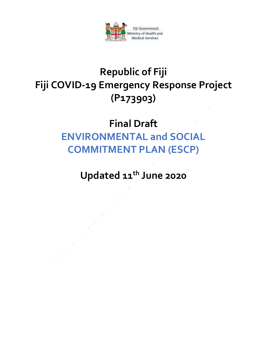

## **Republic of Fiji Fiji COVID-19 Emergency Response Project (P173903)**

## **Final Draft ENVIRONMENTAL and SOCIAL COMMITMENT PLAN (ESCP)**

**Updated 11th June 2020**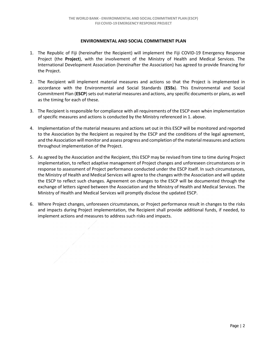## **ENVIRONMENTAL AND SOCIAL COMMITMENT PLAN**

- 1. The Republic of Fiji (hereinafter the Recipient) will implement the Fiji COVID-19 Emergency Response Project (the **Project**), with the involvement of the Ministry of Health and Medical Services. The International Development Association (hereinafter the Association) has agreed to provide financing for the Project.
- 2. The Recipient will implement material measures and actions so that the Project is implemented in accordance with the Environmental and Social Standards (**ESSs**). This Environmental and Social Commitment Plan (**ESCP**) sets out material measures and actions, any specific documents or plans, as well as the timing for each of these.
- 3. The Recipient is responsible for compliance with all requirements of the ESCP even when implementation of specific measures and actions is conducted by the Ministry referenced in 1. above.
- 4. Implementation of the material measures and actions set out in this ESCP will be monitored and reported to the Association by the Recipient as required by the ESCP and the conditions of the legal agreement, and the Association will monitor and assess progress and completion of the material measures and actions throughout implementation of the Project.
- 5. As agreed by the Association and the Recipient, this ESCP may be revised from time to time during Project implementation, to reflect adaptive management of Project changes and unforeseen circumstances or in response to assessment of Project performance conducted under the ESCP itself. In such circumstances, the Ministry of Health and Medical Services will agree to the changes with the Association and will update the ESCP to reflect such changes. Agreement on changes to the ESCP will be documented through the exchange of letters signed between the Association and the Ministry of Health and Medical Services. The Ministry of Health and Medical Services will promptly disclose the updated ESCP.
- 6. Where Project changes, unforeseen circumstances, or Project performance result in changes to the risks and impacts during Project implementation, the Recipient shall provide additional funds, if needed, to implement actions and measures to address such risks and impacts.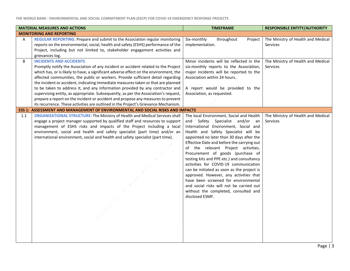| <b>MATERIAL MEASURES AND ACTIONS</b> |                                                                                                                                                                                                                                                                                                                                                                                                                                                                                                                                                                                                                                                                                                                                           | <b>TIMEFRAME</b>                                                                                                                                                                                                                                                                                                                                                                                                                                                                                                                                                                                                                                                  | <b>RESPONSIBLE ENTITY/AUTHORITY</b>                   |
|--------------------------------------|-------------------------------------------------------------------------------------------------------------------------------------------------------------------------------------------------------------------------------------------------------------------------------------------------------------------------------------------------------------------------------------------------------------------------------------------------------------------------------------------------------------------------------------------------------------------------------------------------------------------------------------------------------------------------------------------------------------------------------------------|-------------------------------------------------------------------------------------------------------------------------------------------------------------------------------------------------------------------------------------------------------------------------------------------------------------------------------------------------------------------------------------------------------------------------------------------------------------------------------------------------------------------------------------------------------------------------------------------------------------------------------------------------------------------|-------------------------------------------------------|
|                                      | <b>MONITORING AND REPORTING</b>                                                                                                                                                                                                                                                                                                                                                                                                                                                                                                                                                                                                                                                                                                           |                                                                                                                                                                                                                                                                                                                                                                                                                                                                                                                                                                                                                                                                   |                                                       |
| A                                    | REGULAR REPORTING: Prepare and submit to the Association regular monitoring<br>reports on the environmental, social, health and safety (ESHS) performance of the<br>Project, including but not limited to, stakeholder engagement activities and<br>grievances log.                                                                                                                                                                                                                                                                                                                                                                                                                                                                       | Six-monthly<br>throughout<br>Project<br>implementation.                                                                                                                                                                                                                                                                                                                                                                                                                                                                                                                                                                                                           | The Ministry of Health and Medical<br><b>Services</b> |
| B                                    | <b>INCIDENTS AND ACCIDENTS</b><br>Promptly notify the Association of any incident or accident related to the Project<br>which has, or is likely to have, a significant adverse effect on the environment, the<br>affected communities, the public or workers. Provide sufficient detail regarding<br>the incident or accident, indicating immediate measures taken or that are planned<br>to be taken to address it, and any information provided by any contractor and<br>supervising entity, as appropriate. Subsequently, as per the Association's request,<br>prepare a report on the incident or accident and propose any measures to prevent<br>its recurrence. These activities are outlined in the Project's Grievance Mechanism. | Minor incidents will be reflected in the<br>six-monthly reports to the Association,<br>major incidents will be reported to the<br>Association within 24 hours.<br>A report would be provided to the<br>Association, as requested.                                                                                                                                                                                                                                                                                                                                                                                                                                 | The Ministry of Health and Medical<br><b>Services</b> |
|                                      | ESS 1: ASSESSMENT AND MANAGEMENT OF ENVIRONMENTAL AND SOCIAL RISKS AND IMPACTS                                                                                                                                                                                                                                                                                                                                                                                                                                                                                                                                                                                                                                                            |                                                                                                                                                                                                                                                                                                                                                                                                                                                                                                                                                                                                                                                                   |                                                       |
| 1.1                                  | <b>ORGANIZATIONAL STRUCTURE:</b> The Ministry of Health and Medical Services shall<br>engage a project manager supported by qualified staff and resources to support<br>management of ESHS risks and impacts of the Project including a local<br>environment, social and health and safety specialist (part time) and/or an<br>international environment, social and health and safety specialist (part time).                                                                                                                                                                                                                                                                                                                            | The local Environment, Social and Health<br>and Safety Specialist and/or an<br>International Environment, Social and<br>Health and Safety Specialist will be<br>appointed no later than 30 days after the<br>Effective Date and before the carrying out<br>of the relevant Project activities.<br>Procurement of goods (purchase of<br>testing kits and PPE etc.) and consultancy<br>activities for COVID-19 communication<br>can be initiated as soon as the project is<br>approved. However, any activities that<br>have been screened for environmental<br>and social risks will not be carried out<br>without the completed, consulted and<br>disclosed ESMF. | The Ministry of Health and Medical<br>Services        |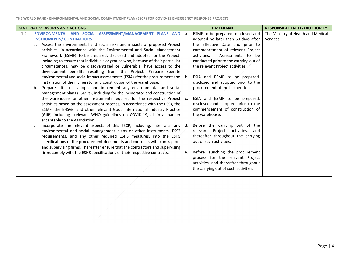| <b>MATERIAL MEASURES AND ACTIONS</b>                                                                                                                                                                                                                                                                                                                                                                                                                                                                                                                                                                                                                                                                                                                                                                                                                                                                                                                                                                                                                                                                                                                                                                       | <b>TIMEFRAME</b>                                                                                                                                                                                                                                                                                                                                                                                                                                                                                                                       | <b>RESPONSIBLE ENTITY/AUTHORITY</b>            |
|------------------------------------------------------------------------------------------------------------------------------------------------------------------------------------------------------------------------------------------------------------------------------------------------------------------------------------------------------------------------------------------------------------------------------------------------------------------------------------------------------------------------------------------------------------------------------------------------------------------------------------------------------------------------------------------------------------------------------------------------------------------------------------------------------------------------------------------------------------------------------------------------------------------------------------------------------------------------------------------------------------------------------------------------------------------------------------------------------------------------------------------------------------------------------------------------------------|----------------------------------------------------------------------------------------------------------------------------------------------------------------------------------------------------------------------------------------------------------------------------------------------------------------------------------------------------------------------------------------------------------------------------------------------------------------------------------------------------------------------------------------|------------------------------------------------|
| ENVIRONMENTAL AND SOCIAL ASSESSMENT/MANAGEMENT PLANS AND<br>1.2<br><b>INSTRUMENTS/ CONTRACTORS</b><br>a. Assess the environmental and social risks and impacts of proposed Project<br>activities, in accordance with the Environmental and Social Management<br>Framework (ESMF), to be prepared, disclosed and adopted for the Project,<br>including to ensure that individuals or groups who, because of their particular<br>circumstances, may be disadvantaged or vulnerable, have access to the<br>development benefits resulting from the Project. Prepare sperate<br>environmental and social impact assessments (ESIAs) for the procurement and<br>installation of the incinerator and construction of the warehouse.<br>Prepare, disclose, adopt, and implement any environmental and social<br>b.<br>management plans (ESMPs), including for the incinerator and construction of<br>the warehouse, or other instruments required for the respective Project<br>activities based on the assessment process, in accordance with the ESSs, the<br>ESMF, the EHSGs, and other relevant Good International Industry Practice<br>(GIIP) including relevant WHO guidelines on COVID-19, all in a manner | ESMF to be prepared, disclosed and<br>a.<br>adopted no later than 60 days after<br>the Effective Date and prior to<br>commencement of relevant Project<br>activities.<br>Assessments to be<br>conducted prior to the carrying out of<br>the relevant Project activities.<br>ESIA and ESMP to be prepared,<br>b.<br>disclosed and adopted prior to the<br>procurement of the incinerator.<br>ESIA and ESMP to be prepared,<br>C <sub>1</sub><br>disclosed and adopted prior to the<br>commencement of construction of<br>the warehouse. | The Ministry of Health and Medical<br>Services |
| acceptable to the Association.<br>Incorporate the relevant aspects of this ESCP, including, inter alia, any<br>c.<br>environmental and social management plans or other instruments, ESS2<br>requirements, and any other required ESHS measures, into the ESHS<br>specifications of the procurement documents and contracts with contractors<br>and supervising firms. Thereafter ensure that the contractors and supervising<br>firms comply with the ESHS specifications of their respective contracts.                                                                                                                                                                                                                                                                                                                                                                                                                                                                                                                                                                                                                                                                                                  | Before the carrying out of the<br>d.<br>relevant Project activities, and<br>thereafter throughout the carrying<br>out of such activities.<br>Before launching the procurement<br>e.<br>process for the relevant Project<br>activities, and thereafter throughout<br>the carrying out of such activities.                                                                                                                                                                                                                               |                                                |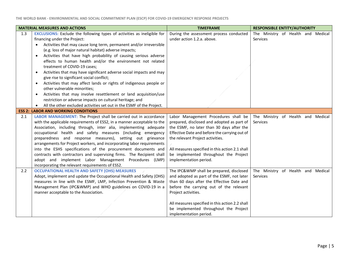| <b>MATERIAL MEASURES AND ACTIONS</b> |                                                                                                                                                                                                                                                                                                                                                                                                                                                                                                                                                                                                                                                                                                                                                                                                                  | <b>TIMEFRAME</b>                                                                                                                                                                                                                                                                                                                           | <b>RESPONSIBLE ENTITY/AUTHORITY</b>            |
|--------------------------------------|------------------------------------------------------------------------------------------------------------------------------------------------------------------------------------------------------------------------------------------------------------------------------------------------------------------------------------------------------------------------------------------------------------------------------------------------------------------------------------------------------------------------------------------------------------------------------------------------------------------------------------------------------------------------------------------------------------------------------------------------------------------------------------------------------------------|--------------------------------------------------------------------------------------------------------------------------------------------------------------------------------------------------------------------------------------------------------------------------------------------------------------------------------------------|------------------------------------------------|
| 1.3                                  | <b>EXCLUSIONS:</b> Exclude the following types of activities as ineligible for<br>financing under the Project:<br>Activities that may cause long term, permanent and/or irreversible<br>(e.g. loss of major natural habitat) adverse impacts;<br>Activities that have high probability of causing serious adverse<br>$\bullet$<br>effects to human health and/or the environment not related<br>treatment of COVID-19 cases;<br>Activities that may have significant adverse social impacts and may<br>$\bullet$<br>give rise to significant social conflict;<br>Activities that may affect lands or rights of indigenous people or<br>other vulnerable minorities;<br>Activities that may involve resettlement or land acquisition/use<br>$\bullet$<br>restriction or adverse impacts on cultural heritage; and | During the assessment process conducted<br>under action 1.2.a. above.                                                                                                                                                                                                                                                                      | The Ministry of Health and Medical<br>Services |
|                                      | All the other excluded activities set out in the ESMF of the Project.<br><b>ESS 2: LABOR AND WORKING CONDITIONS</b>                                                                                                                                                                                                                                                                                                                                                                                                                                                                                                                                                                                                                                                                                              |                                                                                                                                                                                                                                                                                                                                            |                                                |
| 2.1                                  | LABOR MANAGEMENT: The Project shall be carried out in accordance<br>with the applicable requirements of ESS2, in a manner acceptable to the<br>Association, including through, inter alia, implementing adequate<br>occupational health and safety measures (including emergency<br>preparedness and response measures), setting out grievance<br>arrangements for Project workers, and incorporating labor requirements<br>into the ESHS specifications of the procurement documents and<br>contracts with contractors and supervising firms. The Recipient shall<br>adopt and implement Labor Management Procedures (LMP)<br>incorporating the relevant requirements of ESS2.                                                                                                                                  | Labor Management Procedures shall be<br>prepared, disclosed and adopted as part of<br>the ESMF, no later than 30 days after the<br>Effective Date and before the carrying out of<br>the relevant Project activities.<br>All measures specified in this action 2.1 shall<br>be implemented throughout the Project<br>implementation period. | The Ministry of Health and Medical<br>Services |
| 2.2                                  | <b>OCCUPATIONAL HEALTH AND SAFETY (OHS) MEASURES</b><br>Adopt, implement and update the Occupational Health and Safety (OHS)<br>measures in line with the ESMF, LMP, Infection Prevention & Waste<br>Management Plan (IPC&WMP) and WHO guidelines on COVID-19 in a<br>manner acceptable to the Association.                                                                                                                                                                                                                                                                                                                                                                                                                                                                                                      | The IPC&WMP shall be prepared, disclosed<br>and adopted as part of the ESMF, not later<br>than 60 days after the Effective Date and<br>before the carrying out of the relevant<br>Project activities.<br>All measures specified in this action 2.2 shall<br>be implemented throughout the Project<br>implementation period.                | The Ministry of Health and Medical<br>Services |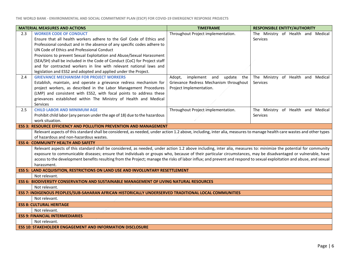| <b>MATERIAL MEASURES AND ACTIONS</b> |                                                                                                                                                                                                                                                                                                                                    | <b>TIMEFRAME</b>                       | <b>RESPONSIBLE ENTITY/AUTHORITY</b> |  |  |  |  |
|--------------------------------------|------------------------------------------------------------------------------------------------------------------------------------------------------------------------------------------------------------------------------------------------------------------------------------------------------------------------------------|----------------------------------------|-------------------------------------|--|--|--|--|
| 2.3                                  | <b>WORKER CODE OF CONDUCT</b>                                                                                                                                                                                                                                                                                                      | Throughout Project implementation.     | The Ministry of Health and Medical  |  |  |  |  |
|                                      | Ensure that all health workers adhere to the GoF Code of Ethics and                                                                                                                                                                                                                                                                |                                        | <b>Services</b>                     |  |  |  |  |
|                                      | Professional conduct and in the absence of any specific codes adhere to                                                                                                                                                                                                                                                            |                                        |                                     |  |  |  |  |
|                                      | UN Code of Ethics and Professional Conduct                                                                                                                                                                                                                                                                                         |                                        |                                     |  |  |  |  |
|                                      | Provisions to prevent Sexual Exploitation and Abuse/Sexual Harassment                                                                                                                                                                                                                                                              |                                        |                                     |  |  |  |  |
|                                      | (SEA/SH) shall be included in the Code of Conduct (CoC) for Project staff                                                                                                                                                                                                                                                          |                                        |                                     |  |  |  |  |
|                                      | and for contracted workers in line with relevant national laws and                                                                                                                                                                                                                                                                 |                                        |                                     |  |  |  |  |
|                                      | legislation and ESS2 and adopted and applied under the Project.                                                                                                                                                                                                                                                                    |                                        |                                     |  |  |  |  |
| 2.4                                  | <b>GRIEVANCE MECHANISM FOR PROJECT WORKERS</b>                                                                                                                                                                                                                                                                                     | implement and update the<br>Adopt,     | The Ministry of Health and Medical  |  |  |  |  |
|                                      | Establish, maintain, and operate a grievance redress mechanism for                                                                                                                                                                                                                                                                 | Grievance Redress Mechanism throughout | Services                            |  |  |  |  |
|                                      | project workers, as described in the Labor Management Procedures                                                                                                                                                                                                                                                                   | Project Implementation.                |                                     |  |  |  |  |
|                                      | (LMP) and consistent with ESS2, with focal points to address these                                                                                                                                                                                                                                                                 |                                        |                                     |  |  |  |  |
|                                      | grievances established within The Ministry of Health and Medical                                                                                                                                                                                                                                                                   |                                        |                                     |  |  |  |  |
|                                      | Services                                                                                                                                                                                                                                                                                                                           |                                        |                                     |  |  |  |  |
| 2.5                                  | <b>CHILD LABOR AND MINIMUM AGE</b>                                                                                                                                                                                                                                                                                                 | Throughout Project implementation.     | The Ministry of Health and Medical  |  |  |  |  |
|                                      | Prohibit child labor (any person under the age of 18) due to the hazardous<br>work situation.                                                                                                                                                                                                                                      |                                        | <b>Services</b>                     |  |  |  |  |
|                                      | <b>ESS 3: RESOURCE EFFICIENCY AND POLLUTION PREVENTION AND MANAGEMENT</b>                                                                                                                                                                                                                                                          |                                        |                                     |  |  |  |  |
|                                      | Relevant aspects of this standard shall be considered, as needed, under action 1.2 above, including, inter alia, measures to manage health care wastes and other types                                                                                                                                                             |                                        |                                     |  |  |  |  |
|                                      | of hazardous and non-hazardous wastes.                                                                                                                                                                                                                                                                                             |                                        |                                     |  |  |  |  |
|                                      | <b>ESS 4: COMMUNITY HEALTH AND SAFETY</b>                                                                                                                                                                                                                                                                                          |                                        |                                     |  |  |  |  |
|                                      |                                                                                                                                                                                                                                                                                                                                    |                                        |                                     |  |  |  |  |
|                                      | Relevant aspects of this standard shall be considered, as needed, under action 1.2 above including, inter alia, measures to: minimize the potential for community<br>exposure to communicable diseases; ensure that individuals or groups who, because of their particular circumstances, may be disadvantaged or vulnerable, have |                                        |                                     |  |  |  |  |
|                                      | access to the development benefits resulting from the Project; manage the risks of labor influx; and prevent and respond to sexual exploitation and abuse, and sexual                                                                                                                                                              |                                        |                                     |  |  |  |  |
|                                      | harassment.                                                                                                                                                                                                                                                                                                                        |                                        |                                     |  |  |  |  |
|                                      | <b>ESS 5: LAND ACQUISITION, RESTRICTIONS ON LAND USE AND INVOLUNTARY RESETTLEMENT</b>                                                                                                                                                                                                                                              |                                        |                                     |  |  |  |  |
|                                      | Not relevant.                                                                                                                                                                                                                                                                                                                      |                                        |                                     |  |  |  |  |
|                                      | <b>ESS 6: BIODIVERSITY CONSERVATION AND SUSTAINABLE MANAGEMENT OF LIVING NATURAL RESOURCES</b>                                                                                                                                                                                                                                     |                                        |                                     |  |  |  |  |
|                                      | Not relevant.                                                                                                                                                                                                                                                                                                                      |                                        |                                     |  |  |  |  |
|                                      | ESS 7: INDIGENOUS PEOPLES/SUB-SAHARAN AFRICAN HISTORICALLY UNDERSERVED TRADITIONAL LOCAL COMMUNITIES                                                                                                                                                                                                                               |                                        |                                     |  |  |  |  |
|                                      | Not relevant.                                                                                                                                                                                                                                                                                                                      |                                        |                                     |  |  |  |  |
|                                      | <b>ESS 8: CULTURAL HERITAGE</b>                                                                                                                                                                                                                                                                                                    |                                        |                                     |  |  |  |  |
|                                      | Not relevant.                                                                                                                                                                                                                                                                                                                      |                                        |                                     |  |  |  |  |
|                                      | <b>ESS 9: FINANCIAL INTERMEDIARIES</b>                                                                                                                                                                                                                                                                                             |                                        |                                     |  |  |  |  |
|                                      | Not relevant.                                                                                                                                                                                                                                                                                                                      |                                        |                                     |  |  |  |  |
|                                      | <b>ESS 10: STAKEHOLDER ENGAGEMENT AND INFORMATION DISCLOSURE</b>                                                                                                                                                                                                                                                                   |                                        |                                     |  |  |  |  |